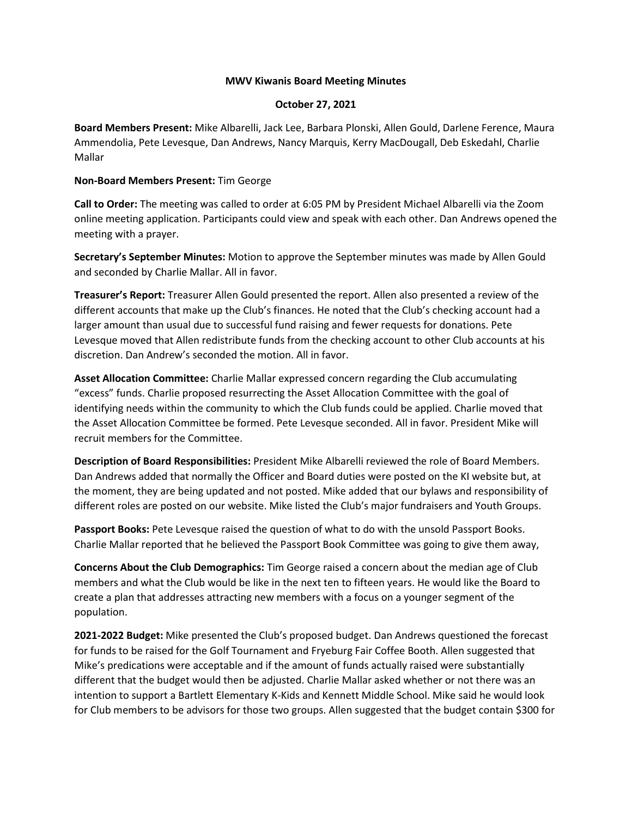#### **MWV Kiwanis Board Meeting Minutes**

### **October 27, 2021**

**Board Members Present:** Mike Albarelli, Jack Lee, Barbara Plonski, Allen Gould, Darlene Ference, Maura Ammendolia, Pete Levesque, Dan Andrews, Nancy Marquis, Kerry MacDougall, Deb Eskedahl, Charlie Mallar

### **Non-Board Members Present:** Tim George

**Call to Order:** The meeting was called to order at 6:05 PM by President Michael Albarelli via the Zoom online meeting application. Participants could view and speak with each other. Dan Andrews opened the meeting with a prayer.

**Secretary's September Minutes:** Motion to approve the September minutes was made by Allen Gould and seconded by Charlie Mallar. All in favor.

**Treasurer's Report:** Treasurer Allen Gould presented the report. Allen also presented a review of the different accounts that make up the Club's finances. He noted that the Club's checking account had a larger amount than usual due to successful fund raising and fewer requests for donations. Pete Levesque moved that Allen redistribute funds from the checking account to other Club accounts at his discretion. Dan Andrew's seconded the motion. All in favor.

**Asset Allocation Committee:** Charlie Mallar expressed concern regarding the Club accumulating "excess" funds. Charlie proposed resurrecting the Asset Allocation Committee with the goal of identifying needs within the community to which the Club funds could be applied. Charlie moved that the Asset Allocation Committee be formed. Pete Levesque seconded. All in favor. President Mike will recruit members for the Committee.

**Description of Board Responsibilities:** President Mike Albarelli reviewed the role of Board Members. Dan Andrews added that normally the Officer and Board duties were posted on the KI website but, at the moment, they are being updated and not posted. Mike added that our bylaws and responsibility of different roles are posted on our website. Mike listed the Club's major fundraisers and Youth Groups.

**Passport Books:** Pete Levesque raised the question of what to do with the unsold Passport Books. Charlie Mallar reported that he believed the Passport Book Committee was going to give them away,

**Concerns About the Club Demographics:** Tim George raised a concern about the median age of Club members and what the Club would be like in the next ten to fifteen years. He would like the Board to create a plan that addresses attracting new members with a focus on a younger segment of the population.

**2021-2022 Budget:** Mike presented the Club's proposed budget. Dan Andrews questioned the forecast for funds to be raised for the Golf Tournament and Fryeburg Fair Coffee Booth. Allen suggested that Mike's predications were acceptable and if the amount of funds actually raised were substantially different that the budget would then be adjusted. Charlie Mallar asked whether or not there was an intention to support a Bartlett Elementary K-Kids and Kennett Middle School. Mike said he would look for Club members to be advisors for those two groups. Allen suggested that the budget contain \$300 for